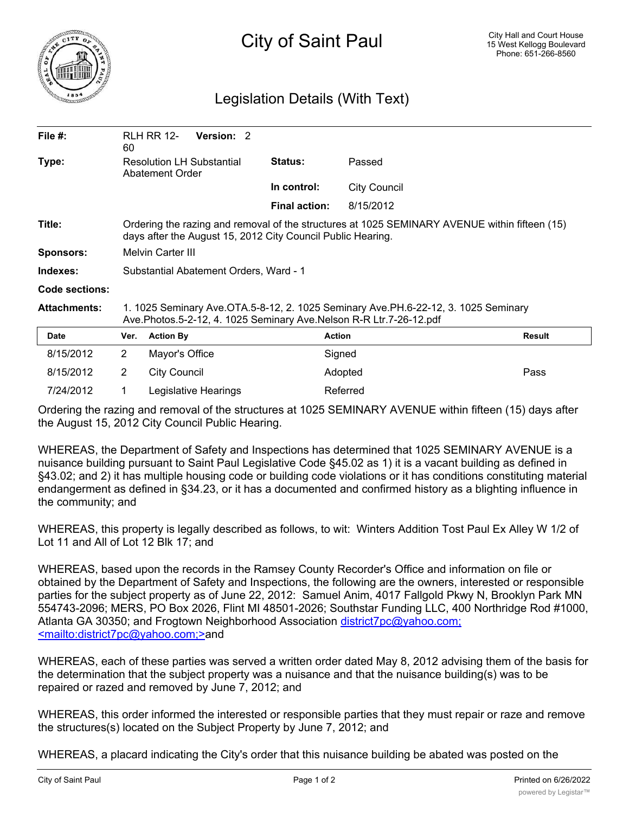

## Legislation Details (With Text)

| File $#$ :          | 60                                                                                                                                                           | <b>RLH RR 12-</b>                                                                                                                                        | <b>Version: 2</b> |  |                      |                     |               |  |
|---------------------|--------------------------------------------------------------------------------------------------------------------------------------------------------------|----------------------------------------------------------------------------------------------------------------------------------------------------------|-------------------|--|----------------------|---------------------|---------------|--|
| Type:               | <b>Resolution LH Substantial</b><br>Abatement Order                                                                                                          |                                                                                                                                                          |                   |  | Status:              | Passed              |               |  |
|                     |                                                                                                                                                              |                                                                                                                                                          |                   |  | In control:          | <b>City Council</b> |               |  |
|                     |                                                                                                                                                              |                                                                                                                                                          |                   |  | <b>Final action:</b> | 8/15/2012           |               |  |
| Title:              | Ordering the razing and removal of the structures at 1025 SEMINARY AVENUE within fifteen (15)<br>days after the August 15, 2012 City Council Public Hearing. |                                                                                                                                                          |                   |  |                      |                     |               |  |
| <b>Sponsors:</b>    | Melvin Carter III                                                                                                                                            |                                                                                                                                                          |                   |  |                      |                     |               |  |
| Indexes:            | Substantial Abatement Orders, Ward - 1                                                                                                                       |                                                                                                                                                          |                   |  |                      |                     |               |  |
| Code sections:      |                                                                                                                                                              |                                                                                                                                                          |                   |  |                      |                     |               |  |
| <b>Attachments:</b> |                                                                                                                                                              | 1. 1025 Seminary Ave.OTA.5-8-12, 2. 1025 Seminary Ave.PH.6-22-12, 3. 1025 Seminary<br>Ave.Photos.5-2-12, 4. 1025 Seminary Ave.Nelson R-R Ltr.7-26-12.pdf |                   |  |                      |                     |               |  |
| Date                | Ver.                                                                                                                                                         | <b>Action By</b>                                                                                                                                         |                   |  |                      | <b>Action</b>       | <b>Result</b> |  |
| 8/15/2012           | $\mathbf{2}^{\prime}$                                                                                                                                        | Mayor's Office                                                                                                                                           |                   |  |                      | Signed              |               |  |
| 8/15/2012           | $\overline{2}$                                                                                                                                               | <b>City Council</b>                                                                                                                                      |                   |  |                      | Adopted             | Pass          |  |
|                     |                                                                                                                                                              |                                                                                                                                                          |                   |  |                      |                     |               |  |

Ordering the razing and removal of the structures at 1025 SEMINARY AVENUE within fifteen (15) days after the August 15, 2012 City Council Public Hearing.

7/24/2012 1 Legislative Hearings Referred

WHEREAS, the Department of Safety and Inspections has determined that 1025 SEMINARY AVENUE is a nuisance building pursuant to Saint Paul Legislative Code §45.02 as 1) it is a vacant building as defined in §43.02; and 2) it has multiple housing code or building code violations or it has conditions constituting material endangerment as defined in §34.23, or it has a documented and confirmed history as a blighting influence in the community; and

WHEREAS, this property is legally described as follows, to wit: Winters Addition Tost Paul Ex Alley W 1/2 of Lot 11 and All of Lot 12 Blk 17; and

WHEREAS, based upon the records in the Ramsey County Recorder's Office and information on file or obtained by the Department of Safety and Inspections, the following are the owners, interested or responsible parties for the subject property as of June 22, 2012: Samuel Anim, 4017 Fallgold Pkwy N, Brooklyn Park MN 554743-2096; MERS, PO Box 2026, Flint MI 48501-2026; Southstar Funding LLC, 400 Northridge Rod #1000, Atlanta GA 30350; and Frogtown Neighborhood Association district7pc@yahoo.com; <mailto:district7pc@yahoo.com;>and

WHEREAS, each of these parties was served a written order dated May 8, 2012 advising them of the basis for the determination that the subject property was a nuisance and that the nuisance building(s) was to be repaired or razed and removed by June 7, 2012; and

WHEREAS, this order informed the interested or responsible parties that they must repair or raze and remove the structures(s) located on the Subject Property by June 7, 2012; and

WHEREAS, a placard indicating the City's order that this nuisance building be abated was posted on the